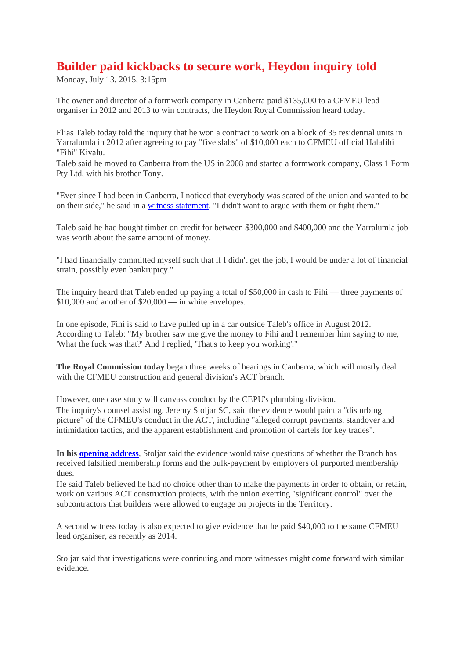## **Builder paid kickbacks to secure work, Heydon inquiry told**

Monday, July 13, 2015, 3:15pm

The owner and director of a formwork company in Canberra paid \$135,000 to a CFMEU lead organiser in 2012 and 2013 to win contracts, the Heydon Royal Commission heard today.

Elias Taleb today told the inquiry that he won a contract to work on a block of 35 residential units in Yarralumla in 2012 after agreeing to pay "five slabs" of \$10,000 each to CFMEU official Halafihi "Fihi" Kivalu.

Taleb said he moved to Canberra from the US in 2008 and started a formwork company, Class 1 Form Pty Ltd, with his brother Tony.

"Ever since I had been in Canberra, I noticed that everybody was scared of the union and wanted to be on their side," he said in a witness statement. "I didn't want to argue with them or fight them."

Taleb said he had bought timber on credit for between \$300,000 and \$400,000 and the Yarralumla job was worth about the same amount of money.

"I had financially committed myself such that if I didn't get the job, I would be under a lot of financial strain, possibly even bankruptcy."

The inquiry heard that Taleb ended up paying a total of \$50,000 in cash to Fihi — three payments of \$10,000 and another of \$20,000 — in white envelopes.

In one episode, Fihi is said to have pulled up in a car outside Taleb's office in August 2012. According to Taleb: "My brother saw me give the money to Fihi and I remember him saying to me, 'What the fuck was that?' And I replied, 'That's to keep you working'."

**The Royal Commission today** began three weeks of hearings in Canberra, which will mostly deal with the CFMEU construction and general division's ACT branch.

However, one case study will canvass conduct by the CEPU's plumbing division. The inquiry's counsel assisting, Jeremy Stoljar SC, said the evidence would paint a "disturbing picture" of the CFMEU's conduct in the ACT, including "alleged corrupt payments, standover and intimidation tactics, and the apparent establishment and promotion of cartels for key trades".

**In his opening address**, Stoljar said the evidence would raise questions of whether the Branch has received falsified membership forms and the bulk-payment by employers of purported membership dues.

He said Taleb believed he had no choice other than to make the payments in order to obtain, or retain, work on various ACT construction projects, with the union exerting "significant control" over the subcontractors that builders were allowed to engage on projects in the Territory.

A second witness today is also expected to give evidence that he paid \$40,000 to the same CFMEU lead organiser, as recently as 2014.

Stoljar said that investigations were continuing and more witnesses might come forward with similar evidence.